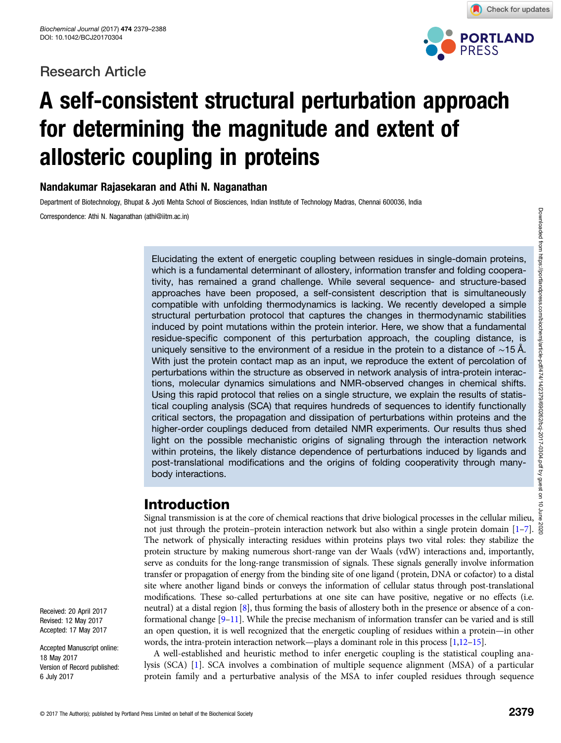# Research Article



Check for updates

# A self-consistent structural perturbation approach for determining the magnitude and extent of allosteric coupling in proteins

## Nandakumar Rajasekaran and Athi N. Naganathan

Department of Biotechnology, Bhupat & Jyoti Mehta School of Biosciences, Indian Institute of Technology Madras, Chennai 600036, India Correspondence: Athi N. Naganathan (athi@iitm.ac.in)

> Elucidating the extent of energetic coupling between residues in single-domain proteins, which is a fundamental determinant of allostery, information transfer and folding cooperativity, has remained a grand challenge. While several sequence- and structure-based approaches have been proposed, a self-consistent description that is simultaneously compatible with unfolding thermodynamics is lacking. We recently developed a simple structural perturbation protocol that captures the changes in thermodynamic stabilities induced by point mutations within the protein interior. Here, we show that a fundamental residue-specific component of this perturbation approach, the coupling distance, is uniquely sensitive to the environment of a residue in the protein to a distance of ∼15 Å. With just the protein contact map as an input, we reproduce the extent of percolation of perturbations within the structure as observed in network analysis of intra-protein interactions, molecular dynamics simulations and NMR-observed changes in chemical shifts. Using this rapid protocol that relies on a single structure, we explain the results of statistical coupling analysis (SCA) that requires hundreds of sequences to identify functionally critical sectors, the propagation and dissipation of perturbations within proteins and the higher-order couplings deduced from detailed NMR experiments. Our results thus shed light on the possible mechanistic origins of signaling through the interaction network within proteins, the likely distance dependence of perturbations induced by ligands and post-translational modifications and the origins of folding cooperativity through manybody interactions.

# Introduction

Signal transmission is at the core of chemical reactions that drive biological processes in the cellular milieu,  $\frac{5}{8}$ not just through the protein–protein interaction network but also within a single protein domain  $[1-7]$  $[1-7]$  $[1-7]$  $[1-7]$ . The network of physically interacting residues within proteins plays two vital roles: they stabilize the protein structure by making numerous short-range van der Waals (vdW) interactions and, importantly, serve as conduits for the long-range transmission of signals. These signals generally involve information transfer or propagation of energy from the binding site of one ligand (protein, DNA or cofactor) to a distal site where another ligand binds or conveys the information of cellular status through post-translational modifications. These so-called perturbations at one site can have positive, negative or no effects (i.e. neutral) at a distal region [\[8](#page-8-0)], thus forming the basis of allostery both in the presence or absence of a conformational change [[9](#page-8-0)–[11\]](#page-8-0). While the precise mechanism of information transfer can be varied and is still an open question, it is well recognized that the energetic coupling of residues within a protein—in other words, the intra-protein interaction network—plays a dominant role in this process [[1](#page-7-0)[,12](#page-8-0)–[15\]](#page-8-0).

A well-established and heuristic method to infer energetic coupling is the statistical coupling analysis (SCA) [\[1](#page-7-0)]. SCA involves a combination of multiple sequence alignment (MSA) of a particular protein family and a perturbative analysis of the MSA to infer coupled residues through sequence

Received: 20 April 2017 Revised: 12 May 2017 Accepted: 17 May 2017

Accepted Manuscript online: 18 May 2017 Version of Record published: 6 July 2017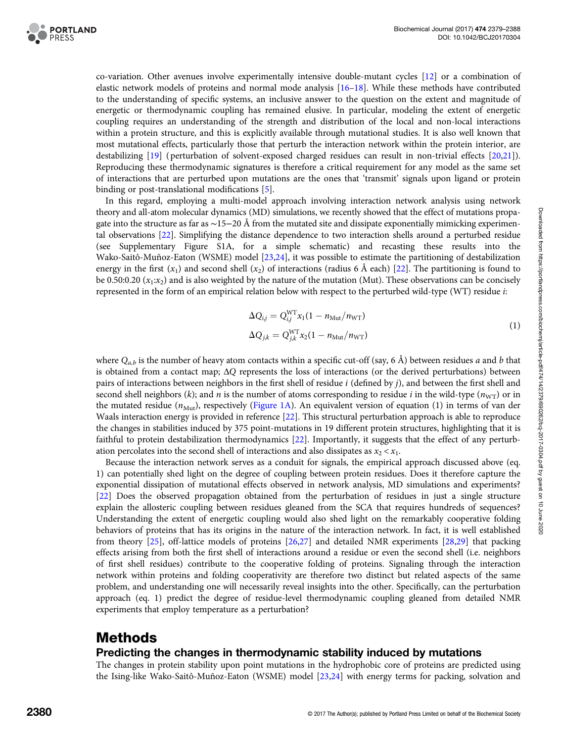

co-variation. Other avenues involve experimentally intensive double-mutant cycles [\[12\]](#page-8-0) or a combination of elastic network models of proteins and normal mode analysis [\[16](#page-8-0)–[18\]](#page-8-0). While these methods have contributed to the understanding of specific systems, an inclusive answer to the question on the extent and magnitude of energetic or thermodynamic coupling has remained elusive. In particular, modeling the extent of energetic coupling requires an understanding of the strength and distribution of the local and non-local interactions within a protein structure, and this is explicitly available through mutational studies. It is also well known that most mutational effects, particularly those that perturb the interaction network within the protein interior, are destabilizing [\[19\]](#page-8-0) ( perturbation of solvent-exposed charged residues can result in non-trivial effects [\[20,21\]](#page-8-0)). Reproducing these thermodynamic signatures is therefore a critical requirement for any model as the same set of interactions that are perturbed upon mutations are the ones that 'transmit' signals upon ligand or protein binding or post-translational modifications [\[5\]](#page-8-0).

In this regard, employing a multi-model approach involving interaction network analysis using network theory and all-atom molecular dynamics (MD) simulations, we recently showed that the effect of mutations propagate into the structure as far as ∼15−20 Å from the mutated site and dissipate exponentially mimicking experimental observations [[22](#page-8-0)]. Simplifying the distance dependence to two interaction shells around a perturbed residue (see Supplementary Figure S1A, for a simple schematic) and recasting these results into the Wako-Saitô-Muñoz-Eaton (WSME) model [[23](#page-8-0),[24](#page-8-0)], it was possible to estimate the partitioning of destabilization energy in the first  $(x_1)$  and second shell  $(x_2)$  of interactions (radius 6 Å each) [[22](#page-8-0)]. The partitioning is found to be 0.50:0.20  $(x_1:x_2)$  and is also weighted by the nature of the mutation (Mut). These observations can be concisely represented in the form of an empirical relation below with respect to the perturbed wild-type (WT) residue i:

$$
\Delta Q_{i,j} = Q_{i,j}^{\text{WT}} x_1 (1 - n_{\text{Mut}} / n_{\text{WT}})
$$
  
\n
$$
\Delta Q_{j,k} = Q_{j,k}^{\text{WT}} x_2 (1 - n_{\text{Mut}} / n_{\text{WT}})
$$
\n(1)

where  $Q_{a,b}$  is the number of heavy atom contacts within a specific cut-off (say, 6 Å) between residues a and b that is obtained from a contact map;  $\Delta Q$  represents the loss of interactions (or the derived perturbations) between pairs of interactions between neighbors in the first shell of residue i (defined by j), and between the first shell and second shell neighbors (k); and n is the number of atoms corresponding to residue i in the wild-type ( $n_{\text{WT}}$ ) or in the mutated residue ( $n_{\text{Mut}}$ ), respectively ([Figure 1A\)](#page-2-0). An equivalent version of equation (1) in terms of van der Waals interaction energy is provided in reference [\[22\]](#page-8-0). This structural perturbation approach is able to reproduce the changes in stabilities induced by 375 point-mutations in 19 different protein structures, highlighting that it is faithful to protein destabilization thermodynamics [\[22\]](#page-8-0). Importantly, it suggests that the effect of any perturbation percolates into the second shell of interactions and also dissipates as  $x_2 < x_1$ .

Because the interaction network serves as a conduit for signals, the empirical approach discussed above (eq. 1) can potentially shed light on the degree of coupling between protein residues. Does it therefore capture the exponential dissipation of mutational effects observed in network analysis, MD simulations and experiments? [[22](#page-8-0)] Does the observed propagation obtained from the perturbation of residues in just a single structure explain the allosteric coupling between residues gleaned from the SCA that requires hundreds of sequences? Understanding the extent of energetic coupling would also shed light on the remarkably cooperative folding behaviors of proteins that has its origins in the nature of the interaction network. In fact, it is well established from theory [\[25\]](#page-8-0), off-lattice models of proteins [\[26,27\]](#page-8-0) and detailed NMR experiments [[28](#page-8-0),[29](#page-8-0)] that packing effects arising from both the first shell of interactions around a residue or even the second shell (i.e. neighbors of first shell residues) contribute to the cooperative folding of proteins. Signaling through the interaction network within proteins and folding cooperativity are therefore two distinct but related aspects of the same problem, and understanding one will necessarily reveal insights into the other. Specifically, can the perturbation approach (eq. 1) predict the degree of residue-level thermodynamic coupling gleaned from detailed NMR experiments that employ temperature as a perturbation?

# Methods

## Predicting the changes in thermodynamic stability induced by mutations

The changes in protein stability upon point mutations in the hydrophobic core of proteins are predicted using the Ising-like Wako-Saitô-Muñoz-Eaton (WSME) model [[23,24](#page-8-0)] with energy terms for packing, solvation and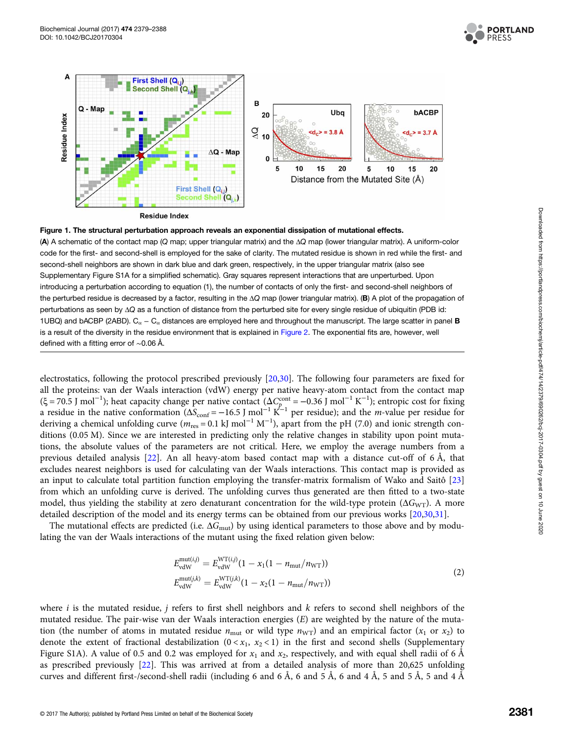

<span id="page-2-0"></span>

**Residue Index** 



(A) A schematic of the contact map (Q map; upper triangular matrix) and the ΔQ map (lower triangular matrix). A uniform-color code for the first- and second-shell is employed for the sake of clarity. The mutated residue is shown in red while the first- and second-shell neighbors are shown in dark blue and dark green, respectively, in the upper triangular matrix (also see Supplementary Figure S1A for a simplified schematic). Gray squares represent interactions that are unperturbed. Upon introducing a perturbation according to equation (1), the number of contacts of only the first- and second-shell neighbors of the perturbed residue is decreased by a factor, resulting in the ΔQ map (lower triangular matrix). (B) A plot of the propagation of perturbations as seen by ΔQ as a function of distance from the perturbed site for every single residue of ubiquitin (PDB id: 1UBQ) and bACBP (2ABD).  $C_{\alpha} - C_{\alpha}$  distances are employed here and throughout the manuscript. The large scatter in panel **B** is a result of the diversity in the residue environment that is explained in [Figure 2](#page-3-0). The exponential fits are, however, well defined with a fitting error of ∼0.06 Å.

electrostatics, following the protocol prescribed previously [[20,30](#page-8-0)]. The following four parameters are fixed for all the proteins: van der Waals interaction (vdW) energy per native heavy-atom contact from the contact map  $(\xi = 70.5 \text{ J mol}^{-1})$ ; heat capacity change per native contact  $(\Delta C_p^{\text{cont}} = -0.36 \text{ J mol}^{-1} \text{ K}^{-1})$ ; entropic cost for fixing a residue in the native conformation ( $\Delta S_{\text{conf}} = -16.5$  J mol<sup>-1</sup> K<sup>-1</sup> per residue); and the *m*-value per residue for deriving a chemical unfolding curve ( $m_{res} = 0.1 \text{ kJ mol}^{-1} \text{ M}^{-1}$ ), apart from the pH (7.0) and ionic strength conditions (0.05 M). Since we are interested in predicting only the relative changes in stability upon point mutations, the absolute values of the parameters are not critical. Here, we employ the average numbers from a previous detailed analysis [[22](#page-8-0)]. An all heavy-atom based contact map with a distance cut-off of 6 Å, that excludes nearest neighbors is used for calculating van der Waals interactions. This contact map is provided as an input to calculate total partition function employing the transfer-matrix formalism of Wako and Saitô [\[23\]](#page-8-0) from which an unfolding curve is derived. The unfolding curves thus generated are then fitted to a two-state model, thus yielding the stability at zero denaturant concentration for the wild-type protein ( $\Delta G_{\rm WT}$ ). A more detailed description of the model and its energy terms can be obtained from our previous works [\[20,30](#page-8-0),[31](#page-8-0)].

The mutational effects are predicted (i.e.  $\Delta G_{\text{mut}}$ ) by using identical parameters to those above and by modulating the van der Waals interactions of the mutant using the fixed relation given below:

$$
E_{\text{vdW}}^{\text{mut}(i,j)} = E_{\text{vdW}}^{\text{WT}(i,j)} (1 - x_1(1 - n_{\text{mut}}/n_{\text{WT}}))
$$
  
\n
$$
E_{\text{vdW}}^{\text{mut}(j,k)} = E_{\text{vdW}}^{\text{WT}(j,k)} (1 - x_2(1 - n_{\text{mut}}/n_{\text{WT}}))
$$
\n(2)

where *i* is the mutated residue, *j* refers to first shell neighbors and  $k$  refers to second shell neighbors of the mutated residue. The pair-wise van der Waals interaction energies (E) are weighted by the nature of the mutation (the number of atoms in mutated residue  $n_{\text{mut}}$  or wild type  $n_{\text{WT}}$ ) and an empirical factor  $(x_1 \text{ or } x_2)$  to denote the extent of fractional destabilization  $(0 < x_1, x_2 < 1)$  in the first and second shells (Supplementary Figure S1A). A value of 0.5 and 0.2 was employed for  $x_1$  and  $x_2$ , respectively, and with equal shell radii of 6 Å as prescribed previously [[22](#page-8-0)]. This was arrived at from a detailed analysis of more than 20,625 unfolding curves and different first-/second-shell radii (including 6 and 6 Å, 6 and 5 Å, 6 and 4 Å, 5 and 5 Å, 5 and 4 Å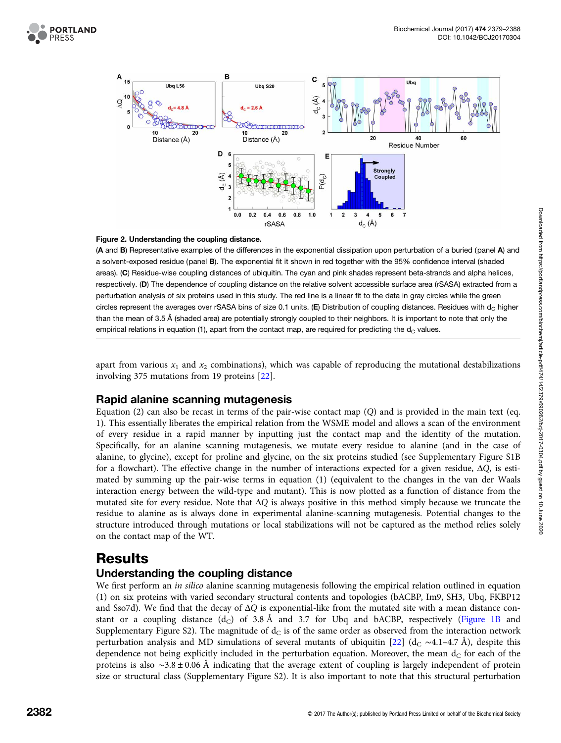<span id="page-3-0"></span>



#### Figure 2. Understanding the coupling distance.

(A and B) Representative examples of the differences in the exponential dissipation upon perturbation of a buried (panel A) and a solvent-exposed residue (panel B). The exponential fit it shown in red together with the 95% confidence interval (shaded areas). (C) Residue-wise coupling distances of ubiquitin. The cyan and pink shades represent beta-strands and alpha helices, respectively. (D) The dependence of coupling distance on the relative solvent accessible surface area (rSASA) extracted from a perturbation analysis of six proteins used in this study. The red line is a linear fit to the data in gray circles while the green circles represent the averages over rSASA bins of size 0.1 units.  $(E)$  Distribution of coupling distances. Residues with  $d<sub>C</sub>$  higher than the mean of 3.5 Å (shaded area) are potentially strongly coupled to their neighbors. It is important to note that only the empirical relations in equation (1), apart from the contact map, are required for predicting the  $d<sub>C</sub>$  values.

apart from various  $x_1$  and  $x_2$  combinations), which was capable of reproducing the mutational destabilizations involving 375 mutations from 19 proteins [[22](#page-8-0)].

## Rapid alanine scanning mutagenesis

Equation (2) can also be recast in terms of the pair-wise contact map (Q) and is provided in the main text (eq. 1). This essentially liberates the empirical relation from the WSME model and allows a scan of the environment of every residue in a rapid manner by inputting just the contact map and the identity of the mutation. Specifically, for an alanine scanning mutagenesis, we mutate every residue to alanine (and in the case of alanine, to glycine), except for proline and glycine, on the six proteins studied (see Supplementary Figure S1B for a flowchart). The effective change in the number of interactions expected for a given residue, ΔQ, is estimated by summing up the pair-wise terms in equation (1) (equivalent to the changes in the van der Waals interaction energy between the wild-type and mutant). This is now plotted as a function of distance from the mutated site for every residue. Note that  $\Delta Q$  is always positive in this method simply because we truncate the residue to alanine as is always done in experimental alanine-scanning mutagenesis. Potential changes to the structure introduced through mutations or local stabilizations will not be captured as the method relies solely on the contact map of the WT.

## Results

## Understanding the coupling distance

We first perform an *in silico* alanine scanning mutagenesis following the empirical relation outlined in equation (1) on six proteins with varied secondary structural contents and topologies (bACBP, Im9, SH3, Ubq, FKBP12 and Sso7d). We find that the decay of  $\Delta Q$  is exponential-like from the mutated site with a mean distance constant or a coupling distance  $(d<sub>C</sub>)$  of 3.8 Å and 3.7 for Ubq and bACBP, respectively ([Figure 1B](#page-2-0) and Supplementary Figure S2). The magnitude of  $d<sub>C</sub>$  is of the same order as observed from the interaction network perturbation analysis and MD simulations of several mutants of ubiquitin [[22](#page-8-0)] (d<sub>C</sub> ∼4.1–4.7 Å), despite this dependence not being explicitly included in the perturbation equation. Moreover, the mean  $d<sub>C</sub>$  for each of the proteins is also ∼3.8 ± 0.06 Å indicating that the average extent of coupling is largely independent of protein size or structural class (Supplementary Figure S2). It is also important to note that this structural perturbation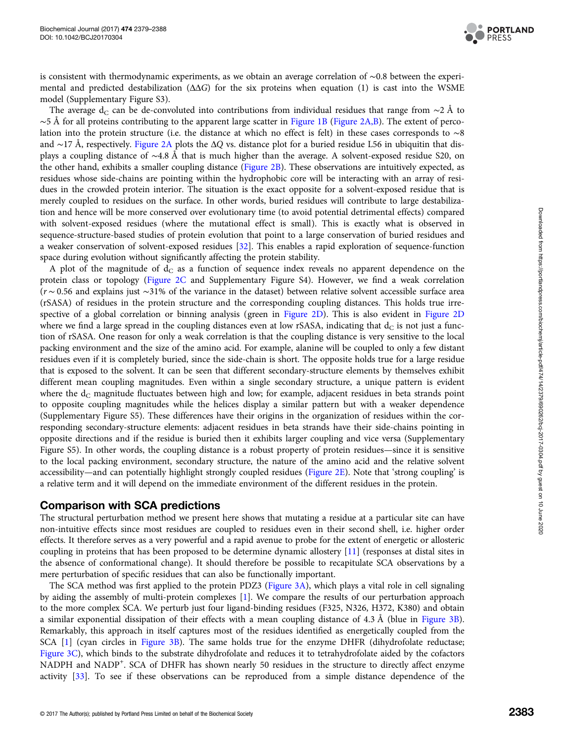

is consistent with thermodynamic experiments, as we obtain an average correlation of ∼0.8 between the experimental and predicted destabilization  $(\Delta\Delta G)$  for the six proteins when equation (1) is cast into the WSME model (Supplementary Figure S3).

The average d<sub>C</sub> can be de-convoluted into contributions from individual residues that range from ∼2 Å to  $\sim$ 5 Å for all proteins contributing to the apparent large scatter in [Figure 1B](#page-2-0) [\(Figure 2A,B](#page-3-0)). The extent of percolation into the protein structure (i.e. the distance at which no effect is felt) in these cases corresponds to ∼8 and ∼17 Å, respectively. [Figure 2A](#page-3-0) plots the ΔQ vs. distance plot for a buried residue L56 in ubiquitin that displays a coupling distance of ∼4.8 Å that is much higher than the average. A solvent-exposed residue S20, on the other hand, exhibits a smaller coupling distance [\(Figure 2B](#page-3-0)). These observations are intuitively expected, as residues whose side-chains are pointing within the hydrophobic core will be interacting with an array of residues in the crowded protein interior. The situation is the exact opposite for a solvent-exposed residue that is merely coupled to residues on the surface. In other words, buried residues will contribute to large destabilization and hence will be more conserved over evolutionary time (to avoid potential detrimental effects) compared with solvent-exposed residues (where the mutational effect is small). This is exactly what is observed in sequence-structure-based studies of protein evolution that point to a large conservation of buried residues and a weaker conservation of solvent-exposed residues [[32\]](#page-8-0). This enables a rapid exploration of sequence-function space during evolution without significantly affecting the protein stability.

A plot of the magnitude of  $d<sub>C</sub>$  as a function of sequence index reveals no apparent dependence on the protein class or topology [\(Figure 2C](#page-3-0) and Supplementary Figure S4). However, we find a weak correlation (r ∼ 0.56 and explains just ∼31% of the variance in the dataset) between relative solvent accessible surface area (rSASA) of residues in the protein structure and the corresponding coupling distances. This holds true irrespective of a global correlation or binning analysis (green in [Figure 2D](#page-3-0)). This is also evident in [Figure 2D](#page-3-0) where we find a large spread in the coupling distances even at low rSASA, indicating that  $d<sub>C</sub>$  is not just a function of rSASA. One reason for only a weak correlation is that the coupling distance is very sensitive to the local packing environment and the size of the amino acid. For example, alanine will be coupled to only a few distant residues even if it is completely buried, since the side-chain is short. The opposite holds true for a large residue that is exposed to the solvent. It can be seen that different secondary-structure elements by themselves exhibit different mean coupling magnitudes. Even within a single secondary structure, a unique pattern is evident where the  $d_C$  magnitude fluctuates between high and low; for example, adjacent residues in beta strands point to opposite coupling magnitudes while the helices display a similar pattern but with a weaker dependence (Supplementary Figure S5). These differences have their origins in the organization of residues within the corresponding secondary-structure elements: adjacent residues in beta strands have their side-chains pointing in opposite directions and if the residue is buried then it exhibits larger coupling and vice versa (Supplementary Figure S5). In other words, the coupling distance is a robust property of protein residues—since it is sensitive to the local packing environment, secondary structure, the nature of the amino acid and the relative solvent accessibility—and can potentially highlight strongly coupled residues [\(Figure 2E](#page-3-0)). Note that 'strong coupling' is a relative term and it will depend on the immediate environment of the different residues in the protein.

## Comparison with SCA predictions

The structural perturbation method we present here shows that mutating a residue at a particular site can have non-intuitive effects since most residues are coupled to residues even in their second shell, i.e. higher order effects. It therefore serves as a very powerful and a rapid avenue to probe for the extent of energetic or allosteric coupling in proteins that has been proposed to be determine dynamic allostery [\[11\]](#page-8-0) (responses at distal sites in the absence of conformational change). It should therefore be possible to recapitulate SCA observations by a mere perturbation of specific residues that can also be functionally important.

The SCA method was first applied to the protein PDZ3 ([Figure 3A\)](#page-5-0), which plays a vital role in cell signaling by aiding the assembly of multi-protein complexes [[1\]](#page-7-0). We compare the results of our perturbation approach to the more complex SCA. We perturb just four ligand-binding residues (F325, N326, H372, K380) and obtain a similar exponential dissipation of their effects with a mean coupling distance of 4.3 Å (blue in [Figure 3B\)](#page-5-0). Remarkably, this approach in itself captures most of the residues identified as energetically coupled from the SCA [[1](#page-7-0)] (cyan circles in [Figure 3B](#page-5-0)). The same holds true for the enzyme DHFR (dihydrofolate reductase; [Figure 3C](#page-5-0)), which binds to the substrate dihydrofolate and reduces it to tetrahydrofolate aided by the cofactors NADPH and NADP<sup>+</sup>. SCA of DHFR has shown nearly 50 residues in the structure to directly affect enzyme activity [\[33\]](#page-8-0). To see if these observations can be reproduced from a simple distance dependence of the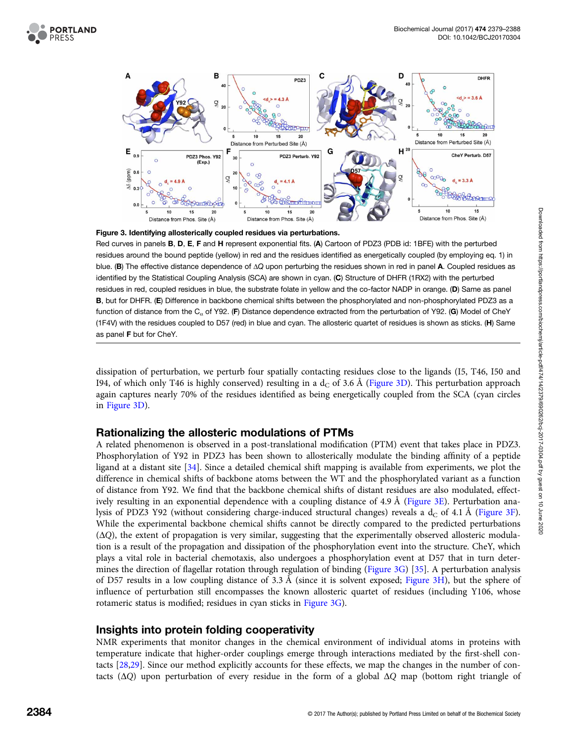<span id="page-5-0"></span>





Red curves in panels **B**, **D**, **E**, **F** and **H** represent exponential fits. (A) Cartoon of PDZ3 (PDB id: 1BFE) with the perturbed residues around the bound peptide (yellow) in red and the residues identified as energetically coupled (by employing eq. 1) in blue. (B) The effective distance dependence of  $\Delta Q$  upon perturbing the residues shown in red in panel A. Coupled residues as identified by the Statistical Coupling Analysis (SCA) are shown in cyan. (C) Structure of DHFR (1RX2) with the perturbed residues in red, coupled residues in blue, the substrate folate in yellow and the co-factor NADP in orange. (D) Same as panel B, but for DHFR. (E) Difference in backbone chemical shifts between the phosphorylated and non-phosphorylated PDZ3 as a function of distance from the C<sub> $\alpha$ </sub> of Y92. (F) Distance dependence extracted from the perturbation of Y92. (G) Model of CheY (1F4V) with the residues coupled to D57 (red) in blue and cyan. The allosteric quartet of residues is shown as sticks. (H) Same as panel F but for CheY.

dissipation of perturbation, we perturb four spatially contacting residues close to the ligands (I5, T46, I50 and I94, of which only T46 is highly conserved) resulting in a  $d<sub>C</sub>$  of 3.6 Å (Figure 3D). This perturbation approach again captures nearly 70% of the residues identified as being energetically coupled from the SCA (cyan circles in Figure 3D).

## Rationalizing the allosteric modulations of PTMs

A related phenomenon is observed in a post-translational modification (PTM) event that takes place in PDZ3. Phosphorylation of Y92 in PDZ3 has been shown to allosterically modulate the binding affinity of a peptide ligand at a distant site [[34\]](#page-8-0). Since a detailed chemical shift mapping is available from experiments, we plot the difference in chemical shifts of backbone atoms between the WT and the phosphorylated variant as a function of distance from Y92. We find that the backbone chemical shifts of distant residues are also modulated, effectively resulting in an exponential dependence with a coupling distance of 4.9 Å (Figure 3E). Perturbation analysis of PDZ3 Y92 (without considering charge-induced structural changes) reveals a  $d<sub>C</sub>$  of 4.1 Å (Figure 3F). While the experimental backbone chemical shifts cannot be directly compared to the predicted perturbations (ΔQ), the extent of propagation is very similar, suggesting that the experimentally observed allosteric modulation is a result of the propagation and dissipation of the phosphorylation event into the structure. CheY, which plays a vital role in bacterial chemotaxis, also undergoes a phosphorylation event at D57 that in turn determines the direction of flagellar rotation through regulation of binding (Figure 3G) [\[35\]](#page-9-0). A perturbation analysis of D57 results in a low coupling distance of 3.3 Å (since it is solvent exposed; Figure 3H), but the sphere of influence of perturbation still encompasses the known allosteric quartet of residues (including Y106, whose rotameric status is modified; residues in cyan sticks in Figure 3G).

## Insights into protein folding cooperativity

NMR experiments that monitor changes in the chemical environment of individual atoms in proteins with temperature indicate that higher-order couplings emerge through interactions mediated by the first-shell contacts [[28,29](#page-8-0)]. Since our method explicitly accounts for these effects, we map the changes in the number of contacts ( $\Delta Q$ ) upon perturbation of every residue in the form of a global  $\Delta Q$  map (bottom right triangle of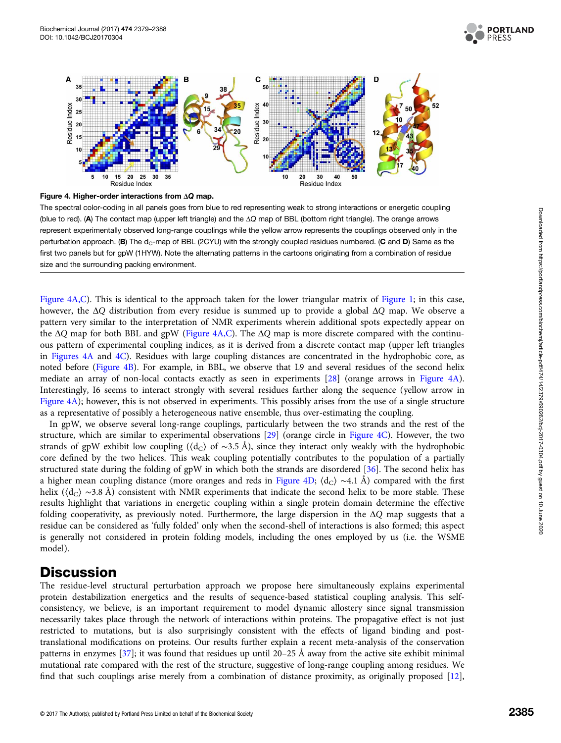



Figure 4. Higher-order interactions from ΔQ map.

The spectral color-coding in all panels goes from blue to red representing weak to strong interactions or energetic coupling (blue to red). (A) The contact map (upper left triangle) and the ΔQ map of BBL (bottom right triangle). The orange arrows represent experimentally observed long-range couplings while the yellow arrow represents the couplings observed only in the perturbation approach. (B) The  $d_C$ -map of BBL (2CYU) with the strongly coupled residues numbered. (C and D) Same as the first two panels but for gpW (1HYW). Note the alternating patterns in the cartoons originating from a combination of residue size and the surrounding packing environment.

Figure 4A,C). This is identical to the approach taken for the lower triangular matrix of [Figure 1;](#page-2-0) in this case, however, the ΔQ distribution from every residue is summed up to provide a global ΔQ map. We observe a pattern very similar to the interpretation of NMR experiments wherein additional spots expectedly appear on the ΔQ map for both BBL and gpW (Figure 4A,C). The ΔQ map is more discrete compared with the continuous pattern of experimental coupling indices, as it is derived from a discrete contact map (upper left triangles in Figures 4A and 4C). Residues with large coupling distances are concentrated in the hydrophobic core, as noted before (Figure 4B). For example, in BBL, we observe that L9 and several residues of the second helix mediate an array of non-local contacts exactly as seen in experiments [\[28\]](#page-8-0) (orange arrows in Figure 4A). Interestingly, I6 seems to interact strongly with several residues farther along the sequence (yellow arrow in Figure 4A); however, this is not observed in experiments. This possibly arises from the use of a single structure as a representative of possibly a heterogeneous native ensemble, thus over-estimating the coupling.

In gpW, we observe several long-range couplings, particularly between the two strands and the rest of the structure, which are similar to experimental observations [\[29](#page-8-0)] (orange circle in Figure 4C). However, the two strands of gpW exhibit low coupling ( $\langle d_C \rangle$  of ∼3.5 Å), since they interact only weakly with the hydrophobic core defined by the two helices. This weak coupling potentially contributes to the population of a partially structured state during the folding of gpW in which both the strands are disordered [\[36](#page-9-0)]. The second helix has a higher mean coupling distance (more oranges and reds in Figure 4D;  $\langle d_C \rangle \sim 4.1$  Å) compared with the first helix ( $\langle d_C \rangle \sim$ 3.8 Å) consistent with NMR experiments that indicate the second helix to be more stable. These results highlight that variations in energetic coupling within a single protein domain determine the effective folding cooperativity, as previously noted. Furthermore, the large dispersion in the  $\Delta Q$  map suggests that a residue can be considered as 'fully folded' only when the second-shell of interactions is also formed; this aspect is generally not considered in protein folding models, including the ones employed by us (i.e. the WSME model).

# **Discussion**

The residue-level structural perturbation approach we propose here simultaneously explains experimental protein destabilization energetics and the results of sequence-based statistical coupling analysis. This selfconsistency, we believe, is an important requirement to model dynamic allostery since signal transmission necessarily takes place through the network of interactions within proteins. The propagative effect is not just restricted to mutations, but is also surprisingly consistent with the effects of ligand binding and posttranslational modifications on proteins. Our results further explain a recent meta-analysis of the conservation patterns in enzymes [[37](#page-9-0)]; it was found that residues up until 20–25 Å away from the active site exhibit minimal mutational rate compared with the rest of the structure, suggestive of long-range coupling among residues. We find that such couplings arise merely from a combination of distance proximity, as originally proposed [[12\]](#page-8-0),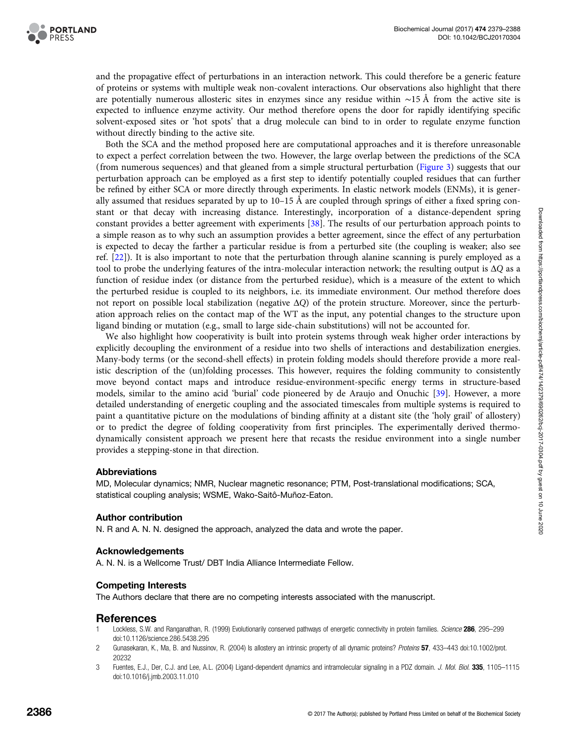<span id="page-7-0"></span>

and the propagative effect of perturbations in an interaction network. This could therefore be a generic feature of proteins or systems with multiple weak non-covalent interactions. Our observations also highlight that there are potentially numerous allosteric sites in enzymes since any residue within ∼15 Å from the active site is expected to influence enzyme activity. Our method therefore opens the door for rapidly identifying specific solvent-exposed sites or 'hot spots' that a drug molecule can bind to in order to regulate enzyme function without directly binding to the active site.

Both the SCA and the method proposed here are computational approaches and it is therefore unreasonable to expect a perfect correlation between the two. However, the large overlap between the predictions of the SCA (from numerous sequences) and that gleaned from a simple structural perturbation ([Figure 3\)](#page-5-0) suggests that our perturbation approach can be employed as a first step to identify potentially coupled residues that can further be refined by either SCA or more directly through experiments. In elastic network models (ENMs), it is generally assumed that residues separated by up to 10–15 Å are coupled through springs of either a fixed spring constant or that decay with increasing distance. Interestingly, incorporation of a distance-dependent spring constant provides a better agreement with experiments [[38](#page-9-0)]. The results of our perturbation approach points to a simple reason as to why such an assumption provides a better agreement, since the effect of any perturbation is expected to decay the farther a particular residue is from a perturbed site (the coupling is weaker; also see ref. [[22](#page-8-0)]). It is also important to note that the perturbation through alanine scanning is purely employed as a tool to probe the underlying features of the intra-molecular interaction network; the resulting output is  $\Delta Q$  as a function of residue index (or distance from the perturbed residue), which is a measure of the extent to which the perturbed residue is coupled to its neighbors, i.e. its immediate environment. Our method therefore does not report on possible local stabilization (negative ΔQ) of the protein structure. Moreover, since the perturbation approach relies on the contact map of the WT as the input, any potential changes to the structure upon ligand binding or mutation (e.g., small to large side-chain substitutions) will not be accounted for.

We also highlight how cooperativity is built into protein systems through weak higher order interactions by explicitly decoupling the environment of a residue into two shells of interactions and destabilization energies. Many-body terms (or the second-shell effects) in protein folding models should therefore provide a more realistic description of the (un)folding processes. This however, requires the folding community to consistently move beyond contact maps and introduce residue-environment-specific energy terms in structure-based models, similar to the amino acid 'burial' code pioneered by de Araujo and Onuchic [[39\]](#page-9-0). However, a more detailed understanding of energetic coupling and the associated timescales from multiple systems is required to paint a quantitative picture on the modulations of binding affinity at a distant site (the 'holy grail' of allostery) or to predict the degree of folding cooperativity from first principles. The experimentally derived thermodynamically consistent approach we present here that recasts the residue environment into a single number provides a stepping-stone in that direction.

#### Abbreviations

MD, Molecular dynamics; NMR, Nuclear magnetic resonance; PTM, Post-translational modifications; SCA, statistical coupling analysis; WSME, Wako-Saitô-Muñoz-Eaton.

#### Author contribution

N. R and A. N. N. designed the approach, analyzed the data and wrote the paper.

#### Acknowledgements

A. N. N. is a Wellcome Trust/ DBT India Alliance Intermediate Fellow.

#### Competing Interests

The Authors declare that there are no competing interests associated with the manuscript.

#### References

- Lockless, S.W. and Ranganathan, R. (1999) Evolutionarily conserved pathways of energetic connectivity in protein families. Science 286, 295-299 doi[:10.1126/science.286.5438.295](http://dx.doi.org/doi:10.1126/science.286.5438.295)
- 2 Gunasekaran, K., Ma, B. and Nussinov, R. (2004) Is allostery an intrinsic property of all dynamic proteins? Proteins 57, 433-443 doi:[10.1002/prot.](http://dx.doi.org/doi:10.1002/prot.20232) [20232](http://dx.doi.org/doi:10.1002/prot.20232)
- 3 Fuentes, E.J., Der, C.J. and Lee, A.L. (2004) Ligand-dependent dynamics and intramolecular signaling in a PDZ domain. J. Mol. Biol. 335, 1105-1115 doi[:10.1016/j.jmb.2003.11.010](http://dx.doi.org/doi:10.1016/j.jmb.2003.11.010)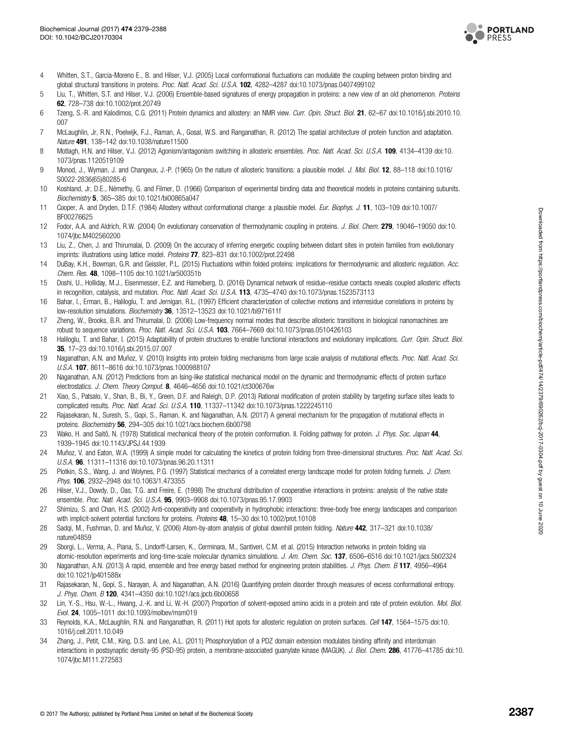

- <span id="page-8-0"></span>4 Whitten, S.T., Garcia-Moreno E., B. and Hilser, V.J. (2005) Local conformational fluctuations can modulate the coupling between proton binding and global structural transitions in proteins. Proc. Natl. Acad. Sci. U.S.A. 102, 4282-4287 doi:[10.1073/pnas.0407499102](http://dx.doi.org/doi:10.1073/pnas.0407499102)
- 5 Liu, T., Whitten, S.T. and Hilser, V.J. (2006) Ensemble-based signatures of energy propagation in proteins: a new view of an old phenomenon. Proteins 62, 728–738 doi:[10.1002/prot.20749](http://dx.doi.org/doi:10.1002/prot.20749)
- 6 Tzeng, S.-R. and Kalodimos, C.G. (2011) Protein dynamics and allostery: an NMR view. Curr. Opin. Struct. Biol. 21, 62–67 doi[:10.1016/j.sbi.2010.10.](http://dx.doi.org/doi:10.1016/j.sbi.2010.10.007) [007](http://dx.doi.org/doi:10.1016/j.sbi.2010.10.007)
- 7 McLaughlin, Jr, R.N., Poelwijk, F.J., Raman, A., Gosal, W.S. and Ranganathan, R. (2012) The spatial architecture of protein function and adaptation. Nature 491, 138-142 doi[:10.1038/nature11500](http://dx.doi.org/doi:10.1038/nature11500)
- 8 Motlagh, H.N. and Hilser, V.J. (2012) Agonism/antagonism switching in allosteric ensembles. Proc. Natl. Acad. Sci. U.S.A. 109, 4134-4139 doi:[10.](http://dx.doi.org/doi:10.1073/pnas.1120519109) [1073/pnas.1120519109](http://dx.doi.org/doi:10.1073/pnas.1120519109)
- 9 Monod, J., Wyman, J. and Changeux, J.-P. (1965) On the nature of allosteric transitions: a plausible model. J. Mol. Biol. 12, 88-118 doi[:10.1016/](http://dx.doi.org/doi:10.1016/S0022-2836(65)80285-6) [S0022-2836\(65\)80285-6](http://dx.doi.org/doi:10.1016/S0022-2836(65)80285-6)
- 10 Koshland, Jr, D.E., Némethy, G. and Filmer, D. (1966) Comparison of experimental binding data and theoretical models in proteins containing subunits. Biochemistry 5, 365–385 doi:[10.1021/bi00865a047](http://dx.doi.org/doi:10.1021/bi00865a047)
- 11 Cooper, A. and Dryden, D.T.F. (1984) Allostery without conformational change: a plausible model. Eur. Biophys. J. 11, 103–109 doi[:10.1007/](http://dx.doi.org/doi:10.1007/BF00276625) [BF00276625](http://dx.doi.org/doi:10.1007/BF00276625)
- 12 Fodor, A.A. and Aldrich, R.W. (2004) On evolutionary conservation of thermodynamic coupling in proteins. J. Biol. Chem. 279, 19046–19050 doi[:10.](http://dx.doi.org/doi:10.1074/jbc.M402560200) [1074/jbc.M402560200](http://dx.doi.org/doi:10.1074/jbc.M402560200)
- 13 Liu, Z., Chen, J. and Thirumalai, D. (2009) On the accuracy of inferring energetic coupling between distant sites in protein families from evolutionary imprints: illustrations using lattice model. Proteins 77, 823-831 doi:[10.1002/prot.22498](http://dx.doi.org/doi:10.1002/prot.22498)
- 14 DuBay, K.H., Bowman, G.R. and Geissler, P.L. (2015) Fluctuations within folded proteins: implications for thermodynamic and allosteric regulation. Acc. Chem. Res. 48, 1098–1105 doi:[10.1021/ar500351b](http://dx.doi.org/doi:10.1021/ar500351b)
- 15 Doshi, U., Holliday, M.J., Eisenmesser, E.Z. and Hamelberg, D. (2016) Dynamical network of residue–residue contacts reveals coupled allosteric effects in recognition, catalysis, and mutation. Proc. Natl. Acad. Sci. U.S.A. 113, 4735-4740 doi:[10.1073/pnas.1523573113](http://dx.doi.org/doi:10.1073/pnas.1523573113)
- 16 Bahar, I., Erman, B., Haliloglu, T. and Jernigan, R.L. (1997) Efficient characterization of collective motions and interresidue correlations in proteins by low-resolution simulations. Biochemistry 36, 13512-13523 doi[:10.1021/bi971611f](http://dx.doi.org/doi:10.1021/bi971611f)
- 17 Zheng, W., Brooks, B.R. and Thirumalai, D. (2006) Low-frequency normal modes that describe allosteric transitions in biological nanomachines are robust to sequence variations. Proc. Natl. Acad. Sci. U.S.A. 103, 7664-7669 doi:[10.1073/pnas.0510426103](http://dx.doi.org/doi:10.1073/pnas.0510426103)
- 18 Haliloglu, T. and Bahar, I. (2015) Adaptability of protein structures to enable functional interactions and evolutionary implications. Curr. Opin. Struct. Biol. 35, 17–23 doi[:10.1016/j.sbi.2015.07.007](http://dx.doi.org/doi:10.1016/j.sbi.2015.07.007)
- 19 Naganathan, A.N. and Muñoz, V. (2010) Insights into protein folding mechanisms from large scale analysis of mutational effects. Proc. Natl. Acad. Sci. U.S.A. 107, 8611–8616 doi[:10.1073/pnas.1000988107](http://dx.doi.org/doi:10.1073/pnas.1000988107)
- 20 Naganathan, A.N. (2012) Predictions from an Ising-like statistical mechanical model on the dynamic and thermodynamic effects of protein surface electrostatics. J. Chem. Theory Comput. 8, 4646–4656 doi[:10.1021/ct300676w](http://dx.doi.org/doi:10.1021/ct300676w)
- 21 Xiao, S., Patsalo, V., Shan, B., Bi, Y., Green, D.F. and Raleigh, D.P. (2013) Rational modification of protein stability by targeting surface sites leads to complicated results. Proc. Natl. Acad. Sci. U.S.A. 110, 11337–11342 doi[:10.1073/pnas.1222245110](http://dx.doi.org/doi:10.1073/pnas.1222245110)
- 22 Rajasekaran, N., Suresh, S., Gopi, S., Raman, K. and Naganathan, A.N. (2017) A general mechanism for the propagation of mutational effects in proteins. Biochemistry 56, 294–305 doi[:10.1021/acs.biochem.6b00798](http://dx.doi.org/doi:10.1021/acs.biochem.6b00798)
- 23 Wako, H. and Saitô, N. (1978) Statistical mechanical theory of the protein conformation. II. Folding pathway for protein. J. Phys. Soc. Japan 44, 1939–1945 doi:[10.1143/JPSJ.44.1939](http://dx.doi.org/doi:10.1143/JPSJ.44.1939)
- 24 Muñoz, V. and Eaton, W.A. (1999) A simple model for calculating the kinetics of protein folding from three-dimensional structures. Proc. Natl. Acad. Sci. U.S.A. 96, 11311–11316 doi[:10.1073/pnas.96.20.11311](http://dx.doi.org/doi:10.1073/pnas.96.20.11311)
- 25 Plotkin, S.S., Wang, J. and Wolynes, P.G. (1997) Statistical mechanics of a correlated energy landscape model for protein folding funnels. J. Chem. Phys. **106**, 2932-2948 doi:[10.1063/1.473355](http://dx.doi.org/doi:10.1063/1.473355)
- 26 Hilser, V.J., Dowdy, D., Oas, T.G. and Freire, E. (1998) The structural distribution of cooperative interactions in proteins: analysis of the native state ensemble. Proc. Natl. Acad. Sci. U.S.A. 95, 9903–9908 doi[:10.1073/pnas.95.17.9903](http://dx.doi.org/doi:10.1073/pnas.95.17.9903)
- 27 Shimizu, S. and Chan, H.S. (2002) Anti-cooperativity and cooperativity in hydrophobic interactions: three-body free energy landscapes and comparison with implicit-solvent potential functions for proteins. Proteins 48, 15-30 doi:[10.1002/prot.10108](http://dx.doi.org/doi:10.1002/prot.10108)
- 28 Sadqi, M., Fushman, D. and Muñoz, V. (2006) Atom-by-atom analysis of global downhill protein folding. Nature 442, 317-321 doi[:10.1038/](http://dx.doi.org/doi:10.1038/nature04859) [nature04859](http://dx.doi.org/doi:10.1038/nature04859)
- 29 Sborgi, L., Verma, A., Piana, S., Lindorff-Larsen, K., Cerminara, M., Santiveri, C.M. et al. (2015) Interaction networks in protein folding via atomic-resolution experiments and long-time-scale molecular dynamics simulations. J. Am. Chem. Soc. 137, 6506–6516 doi[:10.1021/jacs.5b02324](http://dx.doi.org/doi:10.1021/jacs.5b02324)
- 30 Naganathan, A.N. (2013) A rapid, ensemble and free energy based method for engineering protein stabilities. J. Phys. Chem. B 117, 4956–4964 doi:[10.1021/jp401588x](http://dx.doi.org/doi:10.1021/jp401588x)
- 31 Rajasekaran, N., Gopi, S., Narayan, A. and Naganathan, A.N. (2016) Quantifying protein disorder through measures of excess conformational entropy. J. Phys. Chem. B 120, 4341-4350 doi[:10.1021/acs.jpcb.6b00658](http://dx.doi.org/doi:10.1021/acs.jpcb.6b00658)
- 32 Lin, Y.-S., Hsu, W.-L., Hwang, J.-K. and Li, W.-H. (2007) Proportion of solvent-exposed amino acids in a protein and rate of protein evolution. Mol. Biol. Evol. 24, 1005–1011 doi:[10.1093/molbev/msm019](http://dx.doi.org/doi:10.1093/molbev/msm019)
- 33 Reynolds, K.A., McLaughlin, R.N. and Ranganathan, R. (2011) Hot spots for allosteric regulation on protein surfaces. Cell 147, 1564–1575 doi:[10.](http://dx.doi.org/doi:10.1016/j.cell.2011.10.049) [1016/j.cell.2011.10.049](http://dx.doi.org/doi:10.1016/j.cell.2011.10.049)
- 34 Zhang, J., Petit, C.M., King, D.S. and Lee, A.L. (2011) Phosphorylation of a PDZ domain extension modulates binding affinity and interdomain interactions in postsynaptic density-95 (PSD-95) protein, a membrane-associated guanylate kinase (MAGUK). J. Biol. Chem. 286, 41776–41785 doi[:10.](http://dx.doi.org/doi:10.1074/jbc.M111.272583) [1074/jbc.M111.272583](http://dx.doi.org/doi:10.1074/jbc.M111.272583)